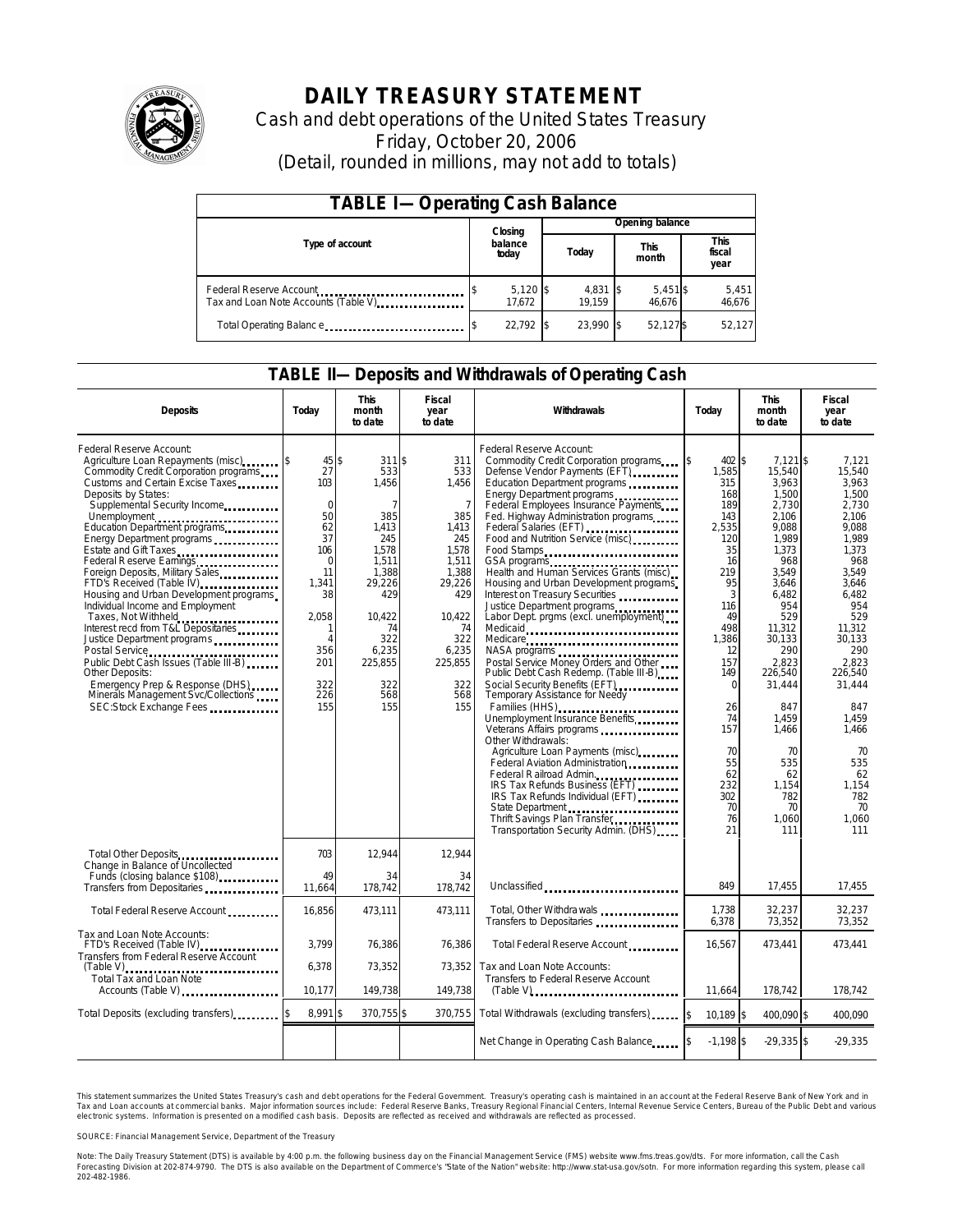

# **DAILY TREASURY STATEMENT**

Cash and debt operations of the United States Treasury Friday, October 20, 2006 (Detail, rounded in millions, may not add to totals)

| <b>TABLE I-Operating Cash Balance</b>                            |  |                      |  |                               |  |                      |                               |                 |
|------------------------------------------------------------------|--|----------------------|--|-------------------------------|--|----------------------|-------------------------------|-----------------|
|                                                                  |  | Closing              |  | Opening balance               |  |                      |                               |                 |
| Type of account                                                  |  | balance<br>today     |  | <b>This</b><br>Today<br>month |  |                      | <b>This</b><br>fiscal<br>year |                 |
| Federal Reserve Account<br>Tax and Loan Note Accounts (Table V). |  | $5,120$ \$<br>17.672 |  | $4,831$ \$<br>19.159          |  | $5,451$ \$<br>46.676 |                               | 5,451<br>46,676 |
| Total Operating Balance                                          |  | 22.792 \$            |  | 23.990 \$                     |  | 52,127\$             |                               | 52,127          |

#### **TABLE II—Deposits and Withdrawals of Operating Cash**

| <b>Deposits</b>                                                                                                                                                                                                                                                                                                                                                                                                                                                                                                                                                                                                                                                                                                                                     | Today                                                                                                                                           | <b>This</b><br>month<br>to date                                                                                                                                           | <b>Fiscal</b><br>year<br>to date                                                                                                                                         | Withdrawals                                                                                                                                                                                                                                                                                                                                                                                                                                                                                                                                                                                                                                                                                                                                                                                                                                                                                                                                                                                                                                                                        | Today                                                                                                                                                                                                                             | <b>This</b><br>month<br>to date                                                                                                                                                                                                                                                | <b>Fiscal</b><br>year<br>to date                                                                                                                                                                                                                                          |
|-----------------------------------------------------------------------------------------------------------------------------------------------------------------------------------------------------------------------------------------------------------------------------------------------------------------------------------------------------------------------------------------------------------------------------------------------------------------------------------------------------------------------------------------------------------------------------------------------------------------------------------------------------------------------------------------------------------------------------------------------------|-------------------------------------------------------------------------------------------------------------------------------------------------|---------------------------------------------------------------------------------------------------------------------------------------------------------------------------|--------------------------------------------------------------------------------------------------------------------------------------------------------------------------|------------------------------------------------------------------------------------------------------------------------------------------------------------------------------------------------------------------------------------------------------------------------------------------------------------------------------------------------------------------------------------------------------------------------------------------------------------------------------------------------------------------------------------------------------------------------------------------------------------------------------------------------------------------------------------------------------------------------------------------------------------------------------------------------------------------------------------------------------------------------------------------------------------------------------------------------------------------------------------------------------------------------------------------------------------------------------------|-----------------------------------------------------------------------------------------------------------------------------------------------------------------------------------------------------------------------------------|--------------------------------------------------------------------------------------------------------------------------------------------------------------------------------------------------------------------------------------------------------------------------------|---------------------------------------------------------------------------------------------------------------------------------------------------------------------------------------------------------------------------------------------------------------------------|
| Federal Reserve Account:<br>Agriculture Loan Repayments (misc)<br>Commodity Credit Corporation programs<br>Customs and Certain Excise Taxes<br>Deposits by States:<br>Supplemental Security Income<br>Unemployment<br>Education Department programs<br>Energy Department programs<br>Estate and Gift Taxes<br>Federal Reserve Earnings<br>Foreign Deposits, Military Sales<br>FTD's Received (Table IV)<br>Housing and Urban Development programs<br>Individual Income and Employment<br>Taxes, Not Withheld<br>Interest recd from T&L Depositaries<br>Justice Department programs<br>Public Debt Cash Issues (Table III-B)<br>Other Deposits:<br>Emergency Prep & Response (DHS)<br>Minerals Management Svc/Collections<br>SEC:Stock Exchange Fees | $45 $ \$<br>27<br>103<br>$\Omega$<br>50<br>62<br>37<br>106<br>$\mathbf 0$<br>11<br>1.341<br>38<br>2,058<br>Δ<br>356<br>201<br>322<br>226<br>155 | 311S<br>533<br>1,456<br>$\overline{7}$<br>385<br>1,413<br>245<br>1,578<br>1,511<br>1,388<br>29,226<br>429<br>10.422<br>74<br>322<br>6,235<br>225,855<br>322<br>568<br>155 | 311<br>533<br>1,456<br>$\overline{7}$<br>385<br>1,413<br>245<br>1,578<br>1,511<br>1,388<br>29,226<br>429<br>10,422<br>74<br>322<br>6,235<br>225,855<br>322<br>568<br>155 | Federal Reserve Account:<br>Commodity Credit Corporation programs<br>Defense Vendor Payments (EFT)<br>Education Department programs<br>Energy Department programs<br>Federal Employees Insurance Payments<br>Fed. Highway Administration programs<br>Federal Salaries (EFT)<br>Food and Nutrition Service (misc)<br>Food Stamps<br>GSA programs<br>Health and Human Services Grants (misc)<br>Housing and Urban Development programs<br>Interest on Treasury Securities<br>Justice Department programs<br>Labor Dept. prgms (excl. unemployment)<br>Medicaid<br>Medicare<br>Postal Service Money Orders and Other<br>Public Debt Cash Redemp. (Table III-B)<br>Social Security Benefits (EFT)<br><br>Temporary Assistance for Needy<br>Families (HHS)<br>Unemployment Insurance Benefits<br>Other Withdrawals:<br>Agriculture Loan Payments (misc)<br>Federal Aviation Administration<br>Federal Railroad Admin.<br>IRS Tax Refunds Business (EFT)<br>IRS Tax Refunds Individual (EFT)<br>State Department<br>Thrift Savings Plan Transfer<br>Transportation Security Admin. (DHS) | \$<br>402 \$<br>1,585<br>315<br>168<br>189<br>143<br>2,535<br>120<br>35<br>16<br>219<br>95<br>3<br>116<br>49<br>498<br>1,386<br>12<br>157<br>149<br>$\Omega$<br>26<br>74<br>157<br>70<br>55<br>62<br>232<br>302<br>70<br>76<br>21 | $7.121$ \$<br>15,540<br>3,963<br>1,500<br>2,730<br>2.106<br>9,088<br>1,989<br>1,373<br>968<br>3.549<br>3.646<br>6.482<br>954<br>529<br>11,312<br>30,133<br>290<br>2,823<br>226.540<br>31,444<br>847<br>1,459<br>1.466<br>70<br>535<br>62<br>1,154<br>782<br>70<br>1,060<br>111 | 7,121<br>15,540<br>3.963<br>1,500<br>2.730<br>2.106<br>9,088<br>1,989<br>1.373<br>968<br>3.549<br>3.646<br>6.482<br>954<br>529<br>11,312<br>30.133<br>290<br>2.823<br>226.540<br>31,444<br>847<br>1,459<br>1.466<br>70<br>535<br>62<br>1,154<br>782<br>70<br>1.060<br>111 |
| Total Other Deposits<br>Change in Balance of Uncollected<br>Funds (closing balance \$108)<br>Funds (closing balance \$108)<br>Transfers from Depositaries                                                                                                                                                                                                                                                                                                                                                                                                                                                                                                                                                                                           | 703<br>49<br>11.664                                                                                                                             | 12,944<br>34<br>178,742                                                                                                                                                   | 12,944<br>34<br>178.742                                                                                                                                                  | Unclassified                                                                                                                                                                                                                                                                                                                                                                                                                                                                                                                                                                                                                                                                                                                                                                                                                                                                                                                                                                                                                                                                       | 849                                                                                                                                                                                                                               | 17,455                                                                                                                                                                                                                                                                         | 17,455                                                                                                                                                                                                                                                                    |
| Total Federal Reserve Account                                                                                                                                                                                                                                                                                                                                                                                                                                                                                                                                                                                                                                                                                                                       | 16,856                                                                                                                                          | 473,111                                                                                                                                                                   | 473.111                                                                                                                                                                  | Total, Other Withdrawals<br>Transfers to Depositaries                                                                                                                                                                                                                                                                                                                                                                                                                                                                                                                                                                                                                                                                                                                                                                                                                                                                                                                                                                                                                              | 1.738<br>6,378                                                                                                                                                                                                                    | 32.237<br>73,352                                                                                                                                                                                                                                                               | 32.237<br>73,352                                                                                                                                                                                                                                                          |
| Tax and Loan Note Accounts:<br>FTD's Received (Table IV)<br>Transfers from Federal Reserve Account                                                                                                                                                                                                                                                                                                                                                                                                                                                                                                                                                                                                                                                  | 3,799                                                                                                                                           | 76,386                                                                                                                                                                    | 76,386                                                                                                                                                                   | Total Federal Reserve Account                                                                                                                                                                                                                                                                                                                                                                                                                                                                                                                                                                                                                                                                                                                                                                                                                                                                                                                                                                                                                                                      | 16,567                                                                                                                                                                                                                            | 473,441                                                                                                                                                                                                                                                                        | 473,441                                                                                                                                                                                                                                                                   |
| Total Tax and Loan Note<br>Accounts (Table V)                                                                                                                                                                                                                                                                                                                                                                                                                                                                                                                                                                                                                                                                                                       | 6,378<br>10,177                                                                                                                                 | 73,352<br>149.738                                                                                                                                                         | 73,352<br>149,738                                                                                                                                                        | Tax and Loan Note Accounts:<br>Transfers to Federal Reserve Account                                                                                                                                                                                                                                                                                                                                                                                                                                                                                                                                                                                                                                                                                                                                                                                                                                                                                                                                                                                                                | 11.664                                                                                                                                                                                                                            | 178.742                                                                                                                                                                                                                                                                        | 178.742                                                                                                                                                                                                                                                                   |
| Total Deposits (excluding transfers)                                                                                                                                                                                                                                                                                                                                                                                                                                                                                                                                                                                                                                                                                                                | 8,991 \$                                                                                                                                        | 370,755 \$                                                                                                                                                                | 370,755                                                                                                                                                                  | Total Withdrawals (excluding transfers)                                                                                                                                                                                                                                                                                                                                                                                                                                                                                                                                                                                                                                                                                                                                                                                                                                                                                                                                                                                                                                            | \$<br>10.189 \$                                                                                                                                                                                                                   | 400.090 \$                                                                                                                                                                                                                                                                     | 400.090                                                                                                                                                                                                                                                                   |
|                                                                                                                                                                                                                                                                                                                                                                                                                                                                                                                                                                                                                                                                                                                                                     |                                                                                                                                                 |                                                                                                                                                                           |                                                                                                                                                                          | Net Change in Operating Cash Balance                                                                                                                                                                                                                                                                                                                                                                                                                                                                                                                                                                                                                                                                                                                                                                                                                                                                                                                                                                                                                                               | $-1,198$ \$                                                                                                                                                                                                                       | $-29,335$ \$                                                                                                                                                                                                                                                                   | $-29,335$                                                                                                                                                                                                                                                                 |

This statement summarizes the United States Treasury's cash and debt operations for the Federal Government. Treasury's operating cash is maintained in an account at the Federal Reserve Bank of New York and in Tax and Loan accounts at commercial banks. Major information sources include: Federal Reserve Banks, Treasury Regional Financial Centers, Internal Revenue Service Centers, Bureau of the Public Debt and various<br>electronic s

SOURCE: Financial Management Service, Department of the Treasury

Note: The Daily Treasury Statement (DTS) is available by 4:00 p.m. the following business day on the Financial Management Service (FMS) website www.fms.treas.gov/dts.<br>Forecasting Division at 202-874-9790. The DTS is also a 'S) is available by 4:00 p.m. the following business day on the Financial Management Service (FMS) website www.fms.treas.gov/dts. For more information, call the Cash<br>The DTS is also available on the Department of Commerce'